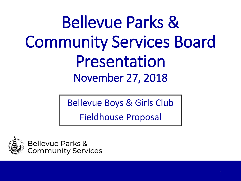Bellevue Parks & Community Services Board Presentation November 27, 2018

Bellevue Boys & Girls Club

Fieldhouse Proposal



Bellevue Parks & **Community Services**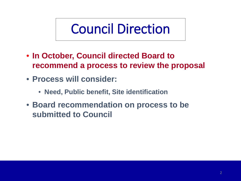# Council Direction

- **In October, Council directed Board to recommend a process to review the proposal**
- **Process will consider:**
	- **Need, Public benefit, Site identification**
- **Board recommendation on process to be submitted to Council**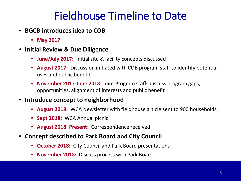#### Fieldhouse Timeline to Date

- **BGCB introduces idea to COB** 
	- **May 2017**
- **Initial Review & Due Diligence**
	- **June/July 2017:** Initial site & facility concepts discussed
	- **August 2017:** Discussion initiated with COB program staff to identify potential uses and public benefit
	- **November 2017-June 2018**: Joint Program staffs discuss program gaps, opportunities, alignment of interests and public benefit
- **Introduce concept to neighborhood**
	- **August 2018:** WCA Newsletter with fieldhouse article sent to 900 households.
	- **Sept 2018:** WCA Annual picnic
	- **August 2018–Present:** Correspondence received
- **Concept described to Park Board and City Council**
	- **October 2018:** City Council and Park Board presentations
	- **November 2018:** Discuss process with Park Board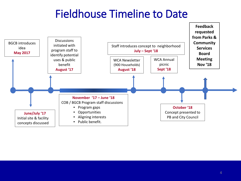### Fieldhouse Timeline to Date

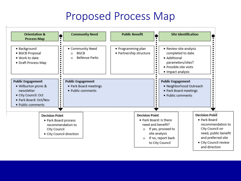#### Proposed Process Map

| <b>Orientation &amp;</b><br><b>Process Map</b>                                                                                          | ٠                                                                                                              |                                                                                | <b>Community Need</b> | <b>Public Benefit</b>                                                                                      | ٠                                                                               |                                                                                                                                 | <b>Site Identification</b> |                                                                                                                             |
|-----------------------------------------------------------------------------------------------------------------------------------------|----------------------------------------------------------------------------------------------------------------|--------------------------------------------------------------------------------|-----------------------|------------------------------------------------------------------------------------------------------------|---------------------------------------------------------------------------------|---------------------------------------------------------------------------------------------------------------------------------|----------------------------|-----------------------------------------------------------------------------------------------------------------------------|
| · Background<br>٠<br>$\blacksquare$<br>٠<br>· BGCB Proposal<br>٠<br>٠<br>• Work to date<br>٠<br>• Draft Process Map<br>٠<br>٠<br>٠<br>٠ |                                                                                                                | • Community Need<br><b>BGCB</b><br>$\circ$<br><b>Bellevue Parks</b><br>$\circ$ |                       | • Programming plan<br>÷<br>÷<br>· Partnership structure<br>÷<br>$\blacksquare$<br>$\blacksquare$<br>٠<br>٠ |                                                                                 | · Review site analysis<br>completed to date<br>• Additional<br>parameters/sites?<br>· Possible site visits<br>· Impact analysis |                            |                                                                                                                             |
| <b>Public Engagement</b><br>• Wilburton picnic &<br>newsletter<br>· City Council: Oct<br>· Park Board: Oct/Nov<br>• Public comments     | ÷<br>٠<br>$\blacksquare$<br>٠<br>٠<br>٠<br>٠<br>٠<br>٠<br>٠                                                    | <b>Public Engagement</b><br>· Public comments                                  | • Park Board meetings |                                                                                                            | ٠<br>$\blacksquare$<br>٠                                                        | <b>Public Engagement</b><br>· Neighborhood Outreach<br>• Park Board meetings<br>· Public comments                               |                            |                                                                                                                             |
|                                                                                                                                         | <b>Decision Point</b><br>• Park Board process<br>recommendation to<br>City Council<br>• City Council direction |                                                                                |                       |                                                                                                            | <b>Decision Point</b><br>• Park Board: Is there<br>need and benefit?<br>$\circ$ | If yes, proceed to<br>site analysis<br>If no, report back                                                                       |                            | <b>Decision Point</b><br>• Park Board<br>recommendation to<br>City Council on<br>need, public benefit<br>and preferred site |